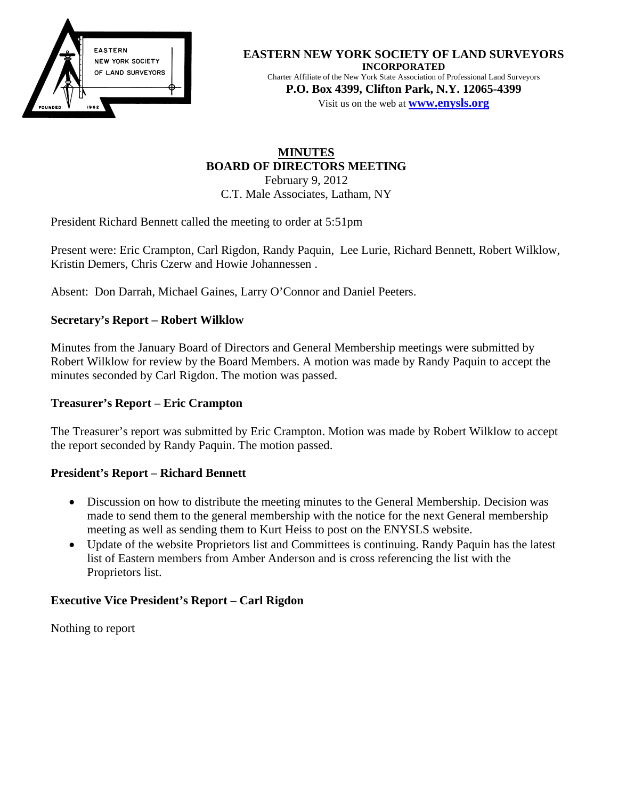

#### **EASTERN NEW YORK SOCIETY OF LAND SURVEYORS INCORPORATED**  Charter Affiliate of the New York State Association of Professional Land Surveyors

**P.O. Box 4399, Clifton Park, N.Y. 12065-4399**  Visit us on the web at **[www.e](http://www.enysls.org/)nysls.org**

## **MINUTES BOARD OF DIRECTORS MEETING**  February 9, 2012 C.T. Male Associates, Latham, NY

President Richard Bennett called the meeting to order at 5:51pm

Present were: Eric Crampton, Carl Rigdon, Randy Paquin, Lee Lurie, Richard Bennett, Robert Wilklow, Kristin Demers, Chris Czerw and Howie Johannessen .

Absent: Don Darrah, Michael Gaines, Larry O'Connor and Daniel Peeters.

# **Secretary's Report – Robert Wilklow**

Minutes from the January Board of Directors and General Membership meetings were submitted by Robert Wilklow for review by the Board Members. A motion was made by Randy Paquin to accept the minutes seconded by Carl Rigdon. The motion was passed.

# **Treasurer's Report – Eric Crampton**

The Treasurer's report was submitted by Eric Crampton. Motion was made by Robert Wilklow to accept the report seconded by Randy Paquin. The motion passed.

## **President's Report – Richard Bennett**

- Discussion on how to distribute the meeting minutes to the General Membership. Decision was made to send them to the general membership with the notice for the next General membership meeting as well as sending them to Kurt Heiss to post on the ENYSLS website.
- Update of the website Proprietors list and Committees is continuing. Randy Paquin has the latest list of Eastern members from Amber Anderson and is cross referencing the list with the Proprietors list.

# **Executive Vice President's Report – Carl Rigdon**

Nothing to report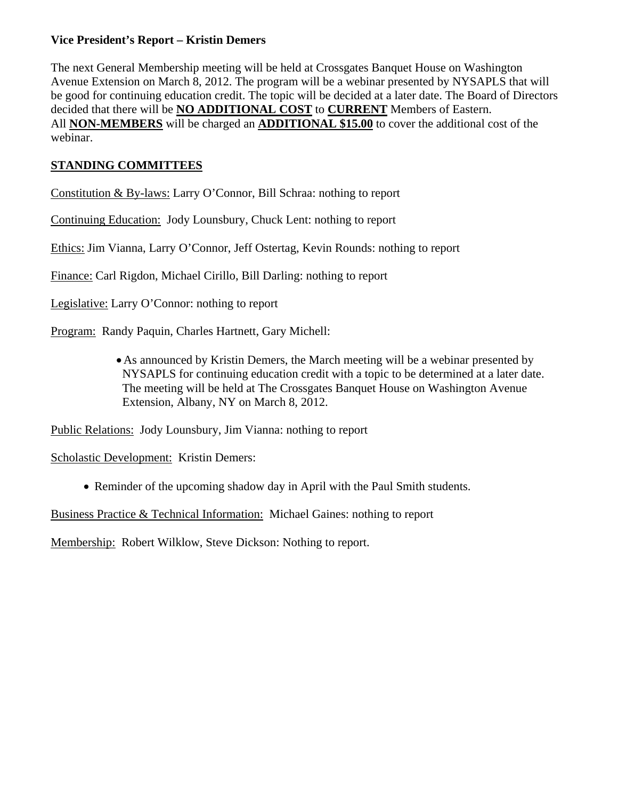## **Vice President's Report – Kristin Demers**

The next General Membership meeting will be held at Crossgates Banquet House on Washington Avenue Extension on March 8, 2012. The program will be a webinar presented by NYSAPLS that will be good for continuing education credit. The topic will be decided at a later date. The Board of Directors decided that there will be **NO ADDITIONAL COST** to **CURRENT** Members of Eastern. All **NON-MEMBERS** will be charged an **ADDITIONAL \$15.00** to cover the additional cost of the webinar.

# **STANDING COMMITTEES**

Constitution & By-laws: Larry O'Connor, Bill Schraa: nothing to report

Continuing Education: Jody Lounsbury, Chuck Lent: nothing to report

Ethics: Jim Vianna, Larry O'Connor, Jeff Ostertag, Kevin Rounds: nothing to report

Finance: Carl Rigdon, Michael Cirillo, Bill Darling: nothing to report

Legislative: Larry O'Connor: nothing to report

Program: Randy Paquin, Charles Hartnett, Gary Michell:

•As announced by Kristin Demers, the March meeting will be a webinar presented by NYSAPLS for continuing education credit with a topic to be determined at a later date. The meeting will be held at The Crossgates Banquet House on Washington Avenue Extension, Albany, NY on March 8, 2012.

Public Relations: Jody Lounsbury, Jim Vianna: nothing to report

Scholastic Development: Kristin Demers:

• Reminder of the upcoming shadow day in April with the Paul Smith students.

Business Practice & Technical Information: Michael Gaines: nothing to report

Membership: Robert Wilklow, Steve Dickson: Nothing to report.